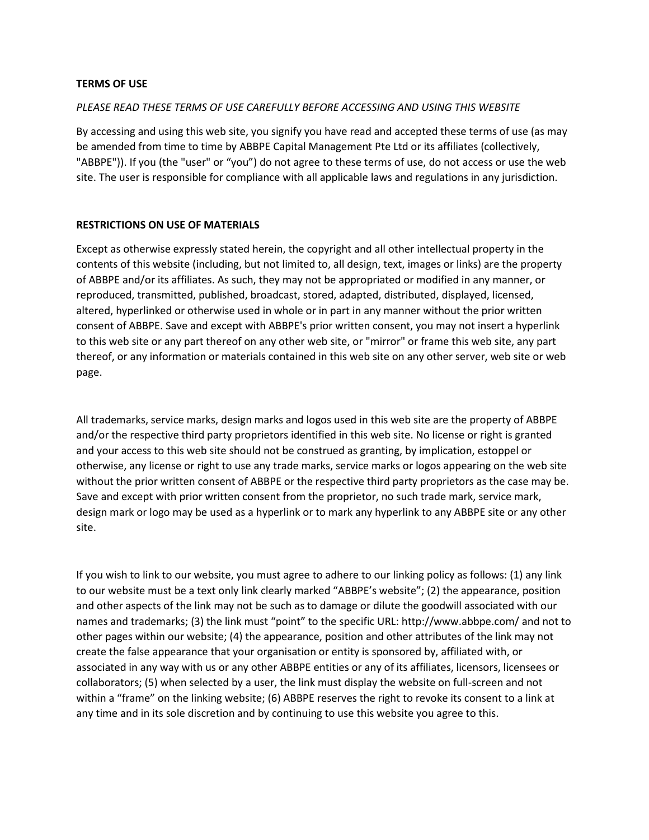### **TERMS OF USE**

### *PLEASE READ THESE TERMS OF USE CAREFULLY BEFORE ACCESSING AND USING THIS WEBSITE*

By accessing and using this web site, you signify you have read and accepted these terms of use (as may be amended from time to time by ABBPE Capital Management Pte Ltd or its affiliates (collectively, "ABBPE")). If you (the "user" or "you") do not agree to these terms of use, do not access or use the web site. The user is responsible for compliance with all applicable laws and regulations in any jurisdiction.

#### **RESTRICTIONS ON USE OF MATERIALS**

Except as otherwise expressly stated herein, the copyright and all other intellectual property in the contents of this website (including, but not limited to, all design, text, images or links) are the property of ABBPE and/or its affiliates. As such, they may not be appropriated or modified in any manner, or reproduced, transmitted, published, broadcast, stored, adapted, distributed, displayed, licensed, altered, hyperlinked or otherwise used in whole or in part in any manner without the prior written consent of ABBPE. Save and except with ABBPE's prior written consent, you may not insert a hyperlink to this web site or any part thereof on any other web site, or "mirror" or frame this web site, any part thereof, or any information or materials contained in this web site on any other server, web site or web page.

All trademarks, service marks, design marks and logos used in this web site are the property of ABBPE and/or the respective third party proprietors identified in this web site. No license or right is granted and your access to this web site should not be construed as granting, by implication, estoppel or otherwise, any license or right to use any trade marks, service marks or logos appearing on the web site without the prior written consent of ABBPE or the respective third party proprietors as the case may be. Save and except with prior written consent from the proprietor, no such trade mark, service mark, design mark or logo may be used as a hyperlink or to mark any hyperlink to any ABBPE site or any other site.

If you wish to link to our website, you must agree to adhere to our linking policy as follows: (1) any link to our website must be a text only link clearly marked "ABBPE's website"; (2) the appearance, position and other aspects of the link may not be such as to damage or dilute the goodwill associated with our names and trademarks; (3) the link must "point" to the specific URL: http://www.abbpe.com/ and not to other pages within our website; (4) the appearance, position and other attributes of the link may not create the false appearance that your organisation or entity is sponsored by, affiliated with, or associated in any way with us or any other ABBPE entities or any of its affiliates, licensors, licensees or collaborators; (5) when selected by a user, the link must display the website on full-screen and not within a "frame" on the linking website; (6) ABBPE reserves the right to revoke its consent to a link at any time and in its sole discretion and by continuing to use this website you agree to this.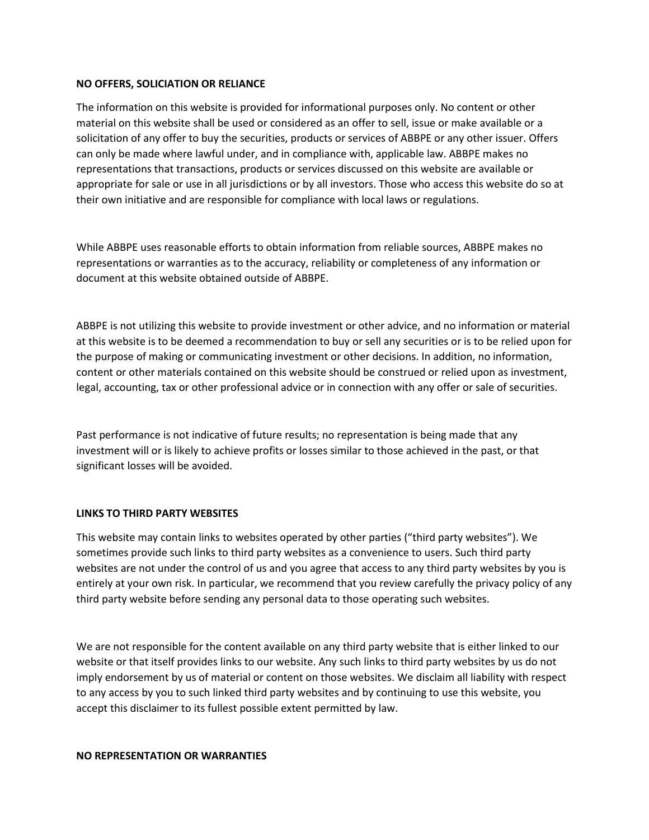### **NO OFFERS, SOLICIATION OR RELIANCE**

The information on this website is provided for informational purposes only. No content or other material on this website shall be used or considered as an offer to sell, issue or make available or a solicitation of any offer to buy the securities, products or services of ABBPE or any other issuer. Offers can only be made where lawful under, and in compliance with, applicable law. ABBPE makes no representations that transactions, products or services discussed on this website are available or appropriate for sale or use in all jurisdictions or by all investors. Those who access this website do so at their own initiative and are responsible for compliance with local laws or regulations.

While ABBPE uses reasonable efforts to obtain information from reliable sources, ABBPE makes no representations or warranties as to the accuracy, reliability or completeness of any information or document at this website obtained outside of ABBPE.

ABBPE is not utilizing this website to provide investment or other advice, and no information or material at this website is to be deemed a recommendation to buy or sell any securities or is to be relied upon for the purpose of making or communicating investment or other decisions. In addition, no information, content or other materials contained on this website should be construed or relied upon as investment, legal, accounting, tax or other professional advice or in connection with any offer or sale of securities.

Past performance is not indicative of future results; no representation is being made that any investment will or is likely to achieve profits or losses similar to those achieved in the past, or that significant losses will be avoided.

# **LINKS TO THIRD PARTY WEBSITES**

This website may contain links to websites operated by other parties ("third party websites"). We sometimes provide such links to third party websites as a convenience to users. Such third party websites are not under the control of us and you agree that access to any third party websites by you is entirely at your own risk. In particular, we recommend that you review carefully the privacy policy of any third party website before sending any personal data to those operating such websites.

We are not responsible for the content available on any third party website that is either linked to our website or that itself provides links to our website. Any such links to third party websites by us do not imply endorsement by us of material or content on those websites. We disclaim all liability with respect to any access by you to such linked third party websites and by continuing to use this website, you accept this disclaimer to its fullest possible extent permitted by law.

#### **NO REPRESENTATION OR WARRANTIES**